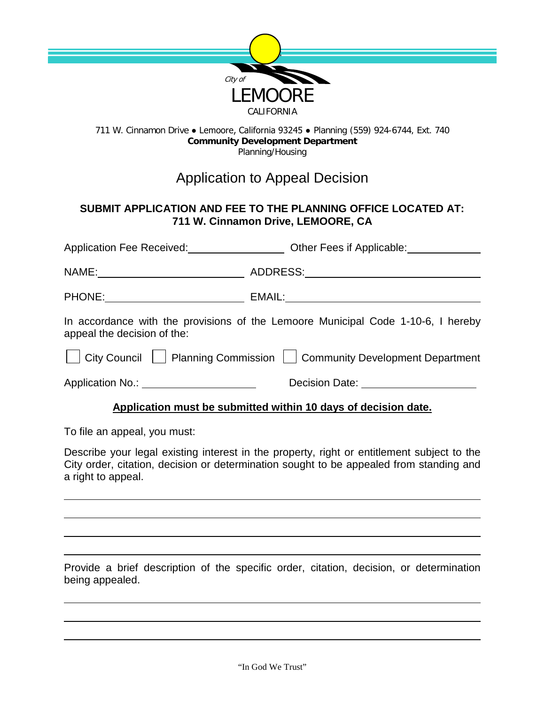

## 711 W. Cinnamon Drive ● Lemoore, California 93245 ● Planning (559) 924-6744, Ext. 740 **Community Development Department** Planning/Housing

## Application to Appeal Decision

## **SUBMIT APPLICATION AND FEE TO THE PLANNING OFFICE LOCATED AT: 711 W. Cinnamon Drive, LEMOORE, CA**

| Application Fee Received:<br><u>Letter and the second</u>                                                       | Other Fees if Applicable:<br><u>Letter and the substitute</u> of the state of the state of the state of the state of the state of the state of the state of the state of the state of the state of the state of the state of the stat |
|-----------------------------------------------------------------------------------------------------------------|---------------------------------------------------------------------------------------------------------------------------------------------------------------------------------------------------------------------------------------|
|                                                                                                                 | NAME: NAME: ADDRESS: AND AND ALL AND ALL AND ASSESSING A LOCAL AND A LOCAL AND A LOCAL AND A LOCAL AND A LOCAL AND A LOCAL AND A LOCAL AND A LOCAL AND A LOCAL AND A LOCAL AND A LOCAL AND A LOCAL AND A LOCAL AND A LOCAL AND        |
| PHONE: _____________________                                                                                    |                                                                                                                                                                                                                                       |
| In accordance with the provisions of the Lemoore Municipal Code 1-10-6, I hereby<br>appeal the decision of the: |                                                                                                                                                                                                                                       |
| City Council   Planning Commission   Community Development Department                                           |                                                                                                                                                                                                                                       |
| Application No.: ______________________                                                                         | Decision Date: ______________________                                                                                                                                                                                                 |
| Application must be submitted within 10 days of decision date.                                                  |                                                                                                                                                                                                                                       |

To file an appeal, you must:

Describe your legal existing interest in the property, right or entitlement subject to the City order, citation, decision or determination sought to be appealed from standing and a right to appeal.

Provide a brief description of the specific order, citation, decision, or determination being appealed.